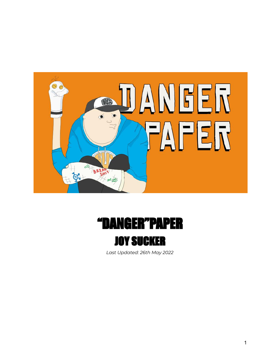



*Last Updated: 26th May 2022*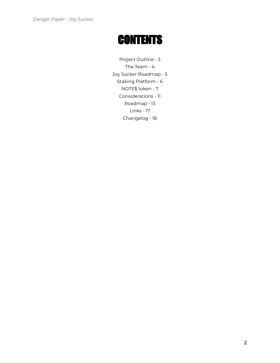## **CONTENTS**

Project Outline - 3 The Team - 4 Joy Sucker Roadmap - 5 Staking Platform - 6 NOTE\$ token - 7 Considerations - 11 Roadmap - 13 Links - 17 Changelog - 18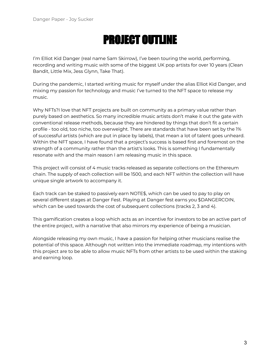# PROJECT OUTLINE

I'm Elliot Kid Danger (real name Sam Skirrow), I've been touring the world, performing, recording and writing music with some of the biggest UK pop artists for over 10 years (Clean Bandit, Little Mix, Jess Glynn, Take That).

During the pandemic, I started writing music for myself under the alias Elliot Kid Danger, and mixing my passion for technology and music I've turned to the NFT space to release my music.

Why NFTs?I love that NFT projects are built on community as a primary value rather than purely based on aesthetics. So many incredible music artists don't make it out the gate with conventional release methods, because they are hindered by things that don't fit a certain profile - too old, too niche, too overweight. There are standards that have been set by the 1% of successful artists (which are put in place by labels), that mean a lot of talent goes unheard. Within the NFT space, I have found that a project's success is based first and foremost on the strength of a community rather than the artist's looks. This is something I fundamentally resonate with and the main reason I am releasing music in this space.

This project will consist of 4 music tracks released as separate collections on the Ethereum chain. The supply of each collection will be 1500, and each NFT within the collection will have unique single artwork to accompany it.

Each track can be staked to passively earn NOTE\$, which can be used to pay to play on several different stages at Danger Fest. Playing at Danger fest earns you \$DANGERCOIN, which can be used towards the cost of subsequent collections (tracks 2, 3 and 4).

This gamification creates a loop which acts as an incentive for investors to be an active part of the entire project, with a narrative that also mirrors my experience of being a musician.

Alongside releasing my own music, I have a passion for helping other musicians realise the potential of this space. Although not written into the immediate roadmap, my intentions with this project are to be able to allow music NFTs from other artists to be used within the staking and earning loop.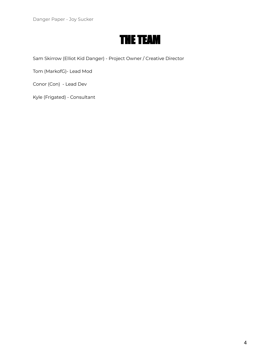### THE TEAM

Sam Skirrow (Elliot Kid Danger) - Project Owner / Creative Director

Tom (MarkofG)- Lead Mod

Conor (Con) - Lead Dev

Kyle (Frigated) - Consultant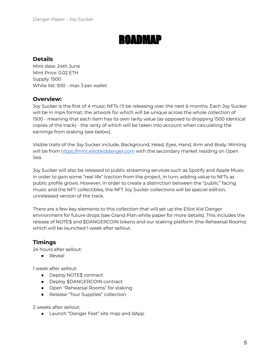### ROADMAP

#### **Details**

Mint date: 24th June Mint Price: 0.02 ETH Supply: 1500 White list: 500 - max 3 per wallet

#### **Overview:**

Joy Sucker is the first of 4 music NFTs I'll be releasing over the next 6 months. Each Joy Sucker will be in mp4 format, the artwork for which will be unique across the whole collection of 1500 - meaning that each item has its own rarity value (as opposed to dropping 1500 identical copies of the track) - the rarity of which will be taken into account when calculating the earnings from staking (see below).

Visible traits of the Joy Sucker include, Background, Head, Eyes, Hand, Arm and Body. Minting will be from <https://mint.elliotkiddanger.com> with the secondary market residing on Open Sea.

Joy Sucker will also be released to public streaming services such as Spotify and Apple Music in order to gain some "real life" traction from the project, in turn, adding value to NFTs as public profile grows. However, in order to create a distinction between the "public" facing music and the NFT collectibles, the NFT Joy Sucker collections will be special edition, unreleased version of the track.

There are a few key elements to this collection that will set up the Elliot Kid Danger environment for future drops (see Grand Plan white paper for more details). This includes the release of NOTE\$ and \$DANGERCOIN tokens and our staking platform (the Rehearsal Rooms) which will be launched 1 week after sellout.

#### **Timings**

24 hours after sellout:

● Reveal

1 week after sellout:

- Deploy NOTE\$ contract
- Deploy \$DANGERCOIN contract
- Open "Rehearsal Rooms" for staking
- Release "Tour Supplies" collection

2 weeks after sellout:

● Launch "Danger Fest" site map and dApp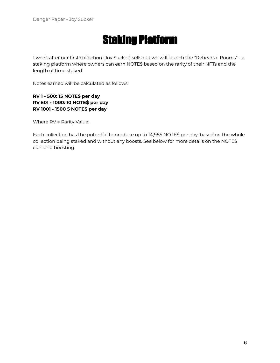## Staking Platform

1 week after our first collection (Joy Sucker) sells out we will launch the "Rehearsal Rooms" - a staking platform where owners can earn NOTE\$ based on the rarity of their NFTs and the length of time staked.

Notes earned will be calculated as follows:

#### **RV 1 - 500: 15 NOTE\$ per day RV 501 - 1000: 10 NOTE\$ per day RV 1001 - 1500 5 NOTE\$ per day**

Where RV = Rarity Value.

Each collection has the potential to produce up to 14,985 NOTE\$ per day, based on the whole collection being staked and without any boosts. See below for more details on the NOTE\$ coin and boosting.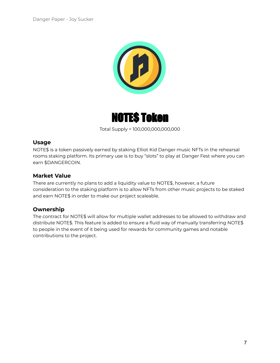



Total Supply = 100,000,000,000,000

#### **Usage**

NOTE\$ is a token passively earned by staking Elliot Kid Danger music NFTs in the rehearsal rooms staking platform. Its primary use is to buy "slots" to play at Danger Fest where you can earn \$DANGERCOIN.

#### **Market Value**

There are currently no plans to add a liquidity value to NOTE\$, however, a future consideration to the staking platform is to allow NFTs from other music projects to be staked and earn NOTE\$ in order to make our project scaleable.

#### **Ownership**

The contract for NOTE\$ will allow for multiple wallet addresses to be allowed to withdraw and distribute NOTE\$. This feature is added to ensure a fluid way of manually transferring NOTE\$ to people in the event of it being used for rewards for community games and notable contributions to the project.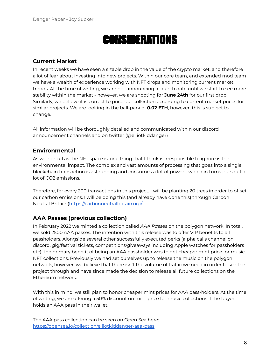## **CONSIDERATIONS**

#### **Current Market**

In recent weeks we have seen a sizable drop in the value of the crypto market, and therefore a lot of fear about investing into new projects. Within our core team, and extended mod team we have a wealth of experience working with NFT drops and monitoring current market trends. At the time of writing, we are not announcing a launch date until we start to see more stability within the market - however, we are shooting for **June 24th** for our first drop. Similarly, we believe it is correct to price our collection according to current market prices for similar projects. We are looking in the ball-park of **0.02 ETH**, however, this is subject to change.

All information will be thoroughly detailed and communicated within our discord announcement channels and on twitter (@elliotkiddanger)

#### **Environmental**

As wonderful as the NFT space is, one thing that I think is irresponsible to ignore is the environmental impact. The complex and vast amounts of processing that goes into a single blockchain transaction is astounding and consumes a lot of power - which in turns puts out a lot of CO2 emissions.

Therefore, for every 200 transactions in this project, I will be planting 20 trees in order to offset our carbon emissions. I will be doing this (and already have done this) through Carbon Neutral Britain [\(https://carbonneutralbritain.org/](https://carbonneutralbritain.org/))

#### **AAA Passes (previous collection)**

In February 2022 we minted a collection called *AAA Passes* on the polygon network. In total, we sold 2500 AAA passes. The intention with this release was to offer VIP benefits to all passholders. Alongside several other successfully executed perks (alpha calls channel on discord, gig/festival tickets, competitions/giveaways including Apple watches for passholders etc), the primary benefit of being an AAA passholder was to get cheaper mint price for music NFT collections. Previously we had set ourselves up to release the music on the polygon network, however, we believe that there isn't the volume of traffic we need in order to see the project through and have since made the decision to release all future collections on the Ethereum network.

With this in mind, we still plan to honor cheaper mint prices for AAA pass-holders. At the time of writing, we are offering a 50% discount on mint price for music collections if the buyer holds an AAA pass in their wallet.

The AAA pass collection can be seen on Open Sea here: <https://opensea.io/collection/elliotkiddanger-aaa-pass>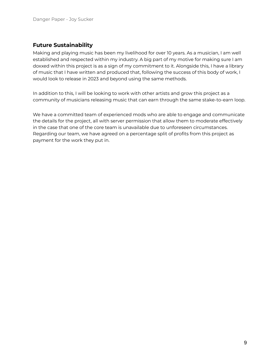#### **Future Sustainability**

Making and playing music has been my livelihood for over 10 years. As a musician, I am well established and respected within my industry. A big part of my motive for making sure I am doxxed within this project is as a sign of my commitment to it. Alongside this, I have a library of music that I have written and produced that, following the success of this body of work, I would look to release in 2023 and beyond using the same methods.

In addition to this, I will be looking to work with other artists and grow this project as a community of musicians releasing music that can earn through the same stake-to-earn loop.

We have a committed team of experienced mods who are able to engage and communicate the details for the project, all with server permission that allow them to moderate effectively in the case that one of the core team is unavailable due to unforeseen circumstances. Regarding our team, we have agreed on a percentage split of profits from this project as payment for the work they put in.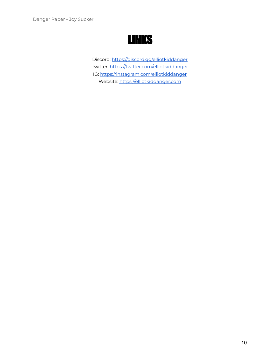### LINKS

Discord: <https://discord.gg/elliotkiddanger> Twitter: <https://twitter.com/elliotkiddanger> IG: <https://instagram.com/elliotkiddanger> Website: <https://elliotkiddanger.com>